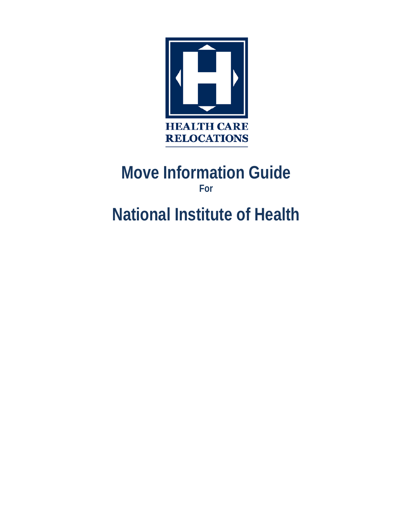

## **Move Information Guide For**

# **National Institute of Health**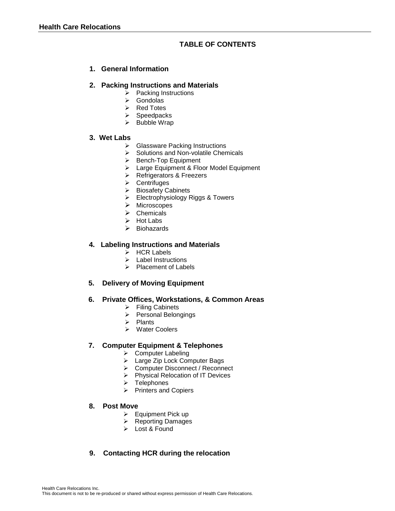## **TABLE OF CONTENTS**

## **1. General Information**

#### **2. Packing Instructions and Materials**

- $\triangleright$  Packing Instructions
- $\triangleright$  Gondolas
- $\triangleright$  Red Totes
- $\triangleright$  Speedpacks
- $\triangleright$  Bubble Wrap

#### **3. Wet Labs**

- $\geq$  Glassware Packing Instructions<br>  $\geq$  Solutions and Non-volatile Cher
- $\geq$  Solutions and Non-volatile Chemicals<br>  $\geq$  Bench-Top Equipment
- Bench-Top Equipment
- > Large Equipment & Floor Model Equipment
- **EXECUTE:** Refrigerators & Freezers
- $\triangleright$  Centrifuges<br> $\triangleright$  Biosafety Ca
- Biosafety Cabinets
- Electrophysiology Riggs & Towers
- > Microscopes
- $\triangleright$  Chemicals
- $\triangleright$  Hot Labs
- $\triangleright$  Biohazards

#### **4. Labeling Instructions and Materials**

- > HCR Labels
- $\triangleright$  Label Instructions
- $\triangleright$  Placement of Labels

#### **5. Delivery of Moving Equipment**

#### **6. Private Offices, Workstations, & Common Areas**

- $\triangleright$  Filing Cabinets
- Personal Belongings
- $\triangleright$  Plants
- Water Coolers

#### **7. Computer Equipment & Telephones**

- ▶ Computer Labeling
- > Large Zip Lock Computer Bags
- → Computer Disconnect / Reconnect
- Physical Relocation of IT Devices
- $\triangleright$  Telephones
- $\triangleright$  Printers and Copiers

#### **8. Post Move**

- $\triangleright$  Equipment Pick up
- ▶ Reporting Damages
- Lost & Found

## **9. Contacting HCR during the relocation**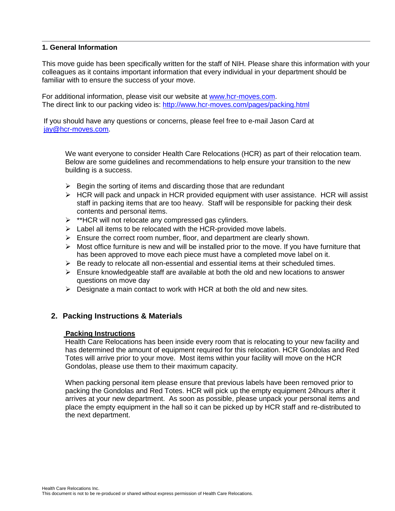#### **1. General Information**

This move guide has been specifically written for the staff of NIH. Please share this information with your colleagues as it contains important information that every individual in your department should be familiar with to ensure the success of your move.

For additional information, please visit our website at [www.hcr-moves.com.](http://www.hcr-moves.com/) The direct link to our packing video is: <http://www.hcr-moves.com/pages/packing.html>

If you should have any questions or concerns, please feel free to e-mail Jason Card at iay@hcr-moves.com.

We want everyone to consider Health Care Relocations (HCR) as part of their relocation team. Below are some guidelines and recommendations to help ensure your transition to the new building is a success.

- $\triangleright$  Begin the sorting of items and discarding those that are redundant
- $\triangleright$  HCR will pack and unpack in HCR provided equipment with user assistance. HCR will assist staff in packing items that are too heavy. Staff will be responsible for packing their desk contents and personal items.
- $\triangleright$  \*\*HCR will not relocate any compressed gas cylinders.
- $\triangleright$  Label all items to be relocated with the HCR-provided move labels.
- $\triangleright$  Ensure the correct room number, floor, and department are clearly shown.
- $\triangleright$  Most office furniture is new and will be installed prior to the move. If you have furniture that has been approved to move each piece must have a completed move label on it.
- $\triangleright$  Be ready to relocate all non-essential and essential items at their scheduled times.
- $\triangleright$  Ensure knowledgeable staff are available at both the old and new locations to answer questions on move day
- $\triangleright$  Designate a main contact to work with HCR at both the old and new sites.

#### **2. Packing Instructions & Materials**

#### **Packing Instructions**

Health Care Relocations has been inside every room that is relocating to your new facility and has determined the amount of equipment required for this relocation. HCR Gondolas and Red Totes will arrive prior to your move. Most items within your facility will move on the HCR Gondolas, please use them to their maximum capacity.

When packing personal item please ensure that previous labels have been removed prior to packing the Gondolas and Red Totes. HCR will pick up the empty equipment 24hours after it arrives at your new department. As soon as possible, please unpack your personal items and place the empty equipment in the hall so it can be picked up by HCR staff and re-distributed to the next department.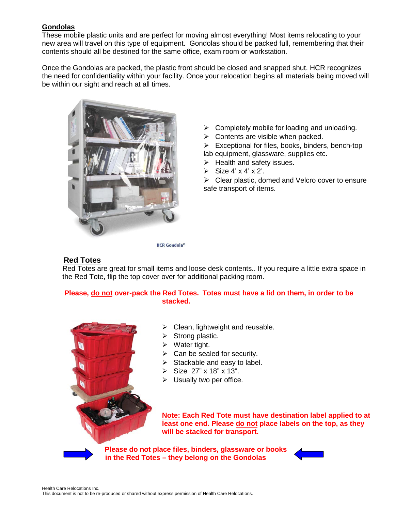## **Gondolas**

These mobile plastic units and are perfect for moving almost everything! Most items relocating to your new area will travel on this type of equipment. Gondolas should be packed full, remembering that their contents should all be destined for the same office, exam room or workstation.

Once the Gondolas are packed, the plastic front should be closed and snapped shut. HCR recognizes the need for confidentiality within your facility. Once your relocation begins all materials being moved will be within our sight and reach at all times.



- $\triangleright$  Completely mobile for loading and unloading.
- $\triangleright$  Contents are visible when packed.
- $\triangleright$  Exceptional for files, books, binders, bench-top lab equipment, glassware, supplies etc.
- $\triangleright$  Health and safety issues.
- $\triangleright$  Size 4' x 4' x 2'.

 $\triangleright$  Clear plastic, domed and Velcro cover to ensure safe transport of items.

#### **HCR** Gondola®

## **Red Totes**

Red Totes are great for small items and loose desk contents.. If you require a little extra space in the Red Tote, flip the top cover over for additional packing room.

## **Please, do not over-pack the Red Totes. Totes must have a lid on them, in order to be stacked.**



 $\triangleright$  Clean, lightweight and reusable.

- $\triangleright$  Strong plastic.
- $\triangleright$  Water tight.
- $\triangleright$  Can be sealed for security.
- $\triangleright$  Stackable and easy to label.
- $\triangleright$  Size 27" x 18" x 13".
- $\triangleright$  Usually two per office.

**Note: Each Red Tote must have destination label applied to at least one end. Please do not place labels on the top, as they will be stacked for transport.** 

 **Please do not place files, binders, glassware or books in the Red Totes – they belong on the Gondolas**

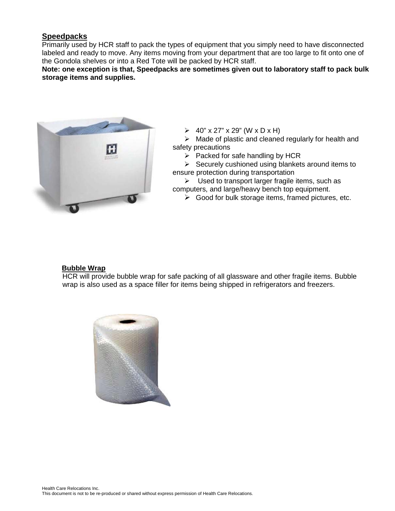## **Speedpacks**

Primarily used by HCR staff to pack the types of equipment that you simply need to have disconnected labeled and ready to move. Any items moving from your department that are too large to fit onto one of the Gondola shelves or into a Red Tote will be packed by HCR staff.

**Note: one exception is that, Speedpacks are sometimes given out to laboratory staff to pack bulk storage items and supplies.**



 $\geq 40$ " x 27" x 29" (W x D x H)

 $\triangleright$  Made of plastic and cleaned regularly for health and safety precautions

 $\triangleright$  Packed for safe handling by HCR

 $\triangleright$  Securely cushioned using blankets around items to ensure protection during transportation

 $\triangleright$  Used to transport larger fragile items, such as computers, and large/heavy bench top equipment.

 $\triangleright$  Good for bulk storage items, framed pictures, etc.

#### **Bubble Wrap**

HCR will provide bubble wrap for safe packing of all glassware and other fragile items. Bubble wrap is also used as a space filler for items being shipped in refrigerators and freezers.

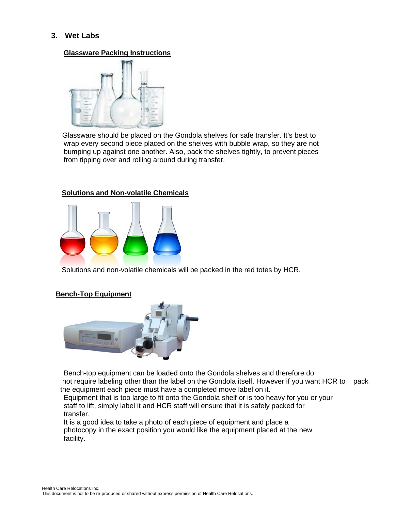## **3. Wet Labs**

#### **Glassware Packing Instructions**



Glassware should be placed on the Gondola shelves for safe transfer. It's best to wrap every second piece placed on the shelves with bubble wrap, so they are not bumping up against one another. Also, pack the shelves tightly, to prevent pieces from tipping over and rolling around during transfer.

#### **Solutions and Non-volatile Chemicals**



Solutions and non-volatile chemicals will be packed in the red totes by HCR.

#### **Bench-Top Equipment**



 Bench-top equipment can be loaded onto the Gondola shelves and therefore do not require labeling other than the label on the Gondola itself. However if you want HCR to pack the equipment each piece must have a completed move label on it.

 Equipment that is too large to fit onto the Gondola shelf or is too heavy for you or your staff to lift, simply label it and HCR staff will ensure that it is safely packed for transfer.

 It is a good idea to take a photo of each piece of equipment and place a photocopy in the exact position you would like the equipment placed at the new facility.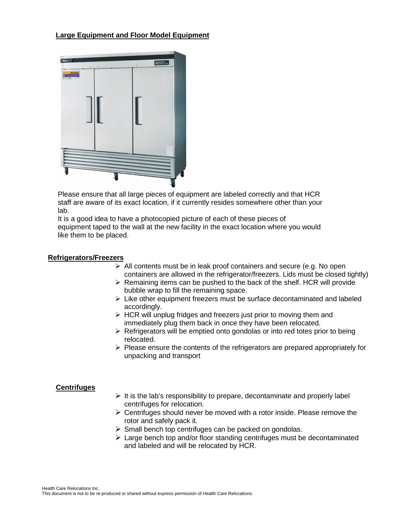## **Large Equipment and Floor Model Equipment**



Please ensure that all large pieces of equipment are labeled correctly and that HCR staff are aware of its exact location, if it currently resides somewhere other than your lab.

It is a good idea to have a photocopied picture of each of these pieces of equipment taped to the wall at the new facility in the exact location where you would like them to be placed.

#### **Refrigerators/Freezers**

- $\triangleright$  All contents must be in leak proof containers and secure (e.g. No open containers are allowed in the refrigerator/freezers. Lids must be closed tightly)
- $\triangleright$  Remaining items can be pushed to the back of the shelf. HCR will provide bubble wrap to fill the remaining space.
- $\triangleright$  Like other equipment freezers must be surface decontaminated and labeled accordingly.
- $\triangleright$  HCR will unplug fridges and freezers just prior to moving them and immediately plug them back in once they have been relocated.
- $\triangleright$  Refrigerators will be emptied onto gondolas or into red totes prior to being relocated.
- $\triangleright$  Please ensure the contents of the refrigerators are prepared appropriately for unpacking and transport

#### **Centrifuges**

- $\triangleright$  It is the lab's responsibility to prepare, decontaminate and properly label centrifuges for relocation.
- $\triangleright$  Centrifuges should never be moved with a rotor inside. Please remove the rotor and safely pack it.
- $\triangleright$  Small bench top centrifuges can be packed on gondolas.
- $\triangleright$  Large bench top and/or floor standing centrifuges must be decontaminated and labeled and will be relocated by HCR.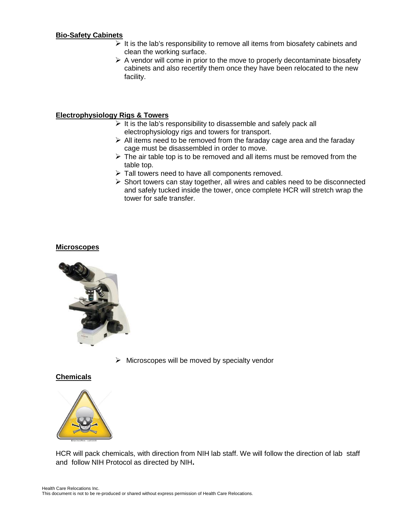#### **Bio-Safety Cabinets**

- $\triangleright$  It is the lab's responsibility to remove all items from biosafety cabinets and clean the working surface.
- $\triangleright$  A vendor will come in prior to the move to properly decontaminate biosafety cabinets and also recertify them once they have been relocated to the new facility.

## **Electrophysiology Rigs & Towers**

- $\triangleright$  It is the lab's responsibility to disassemble and safely pack all electrophysiology rigs and towers for transport.
- $\triangleright$  All items need to be removed from the faraday cage area and the faraday cage must be disassembled in order to move.
- $\triangleright$  The air table top is to be removed and all items must be removed from the table top.
- $\triangleright$  Tall towers need to have all components removed.
- $\triangleright$  Short towers can stay together, all wires and cables need to be disconnected and safely tucked inside the tower, once complete HCR will stretch wrap the tower for safe transfer.

#### **Microscopes**



 $\triangleright$  Microscopes will be moved by specialty vendor

#### **Chemicals**



HCR will pack chemicals, with direction from NIH lab staff. We will follow the direction of lab staff and follow NIH Protocol as directed by NIH**.**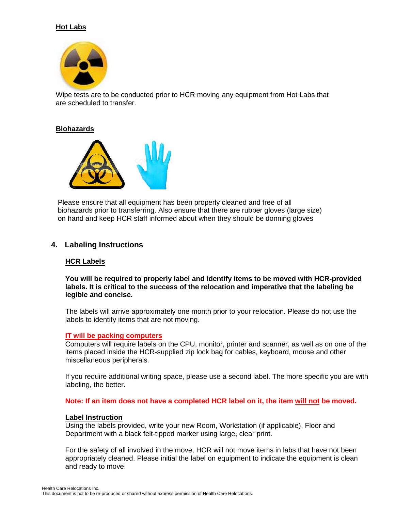## **Hot Labs**



Wipe tests are to be conducted prior to HCR moving any equipment from Hot Labs that are scheduled to transfer.

#### **Biohazards**



Please ensure that all equipment has been properly cleaned and free of all biohazards prior to transferring. Also ensure that there are rubber gloves (large size) on hand and keep HCR staff informed about when they should be donning gloves

#### **4. Labeling Instructions**

#### **HCR Labels**

**You will be required to properly label and identify items to be moved with HCR-provided labels. It is critical to the success of the relocation and imperative that the labeling be legible and concise.** 

The labels will arrive approximately one month prior to your relocation. Please do not use the labels to identify items that are not moving.

#### **IT will be packing computers**

Computers will require labels on the CPU, monitor, printer and scanner, as well as on one of the items placed inside the HCR-supplied zip lock bag for cables, keyboard, mouse and other miscellaneous peripherals.

If you require additional writing space, please use a second label. The more specific you are with labeling, the better.

**Note: If an item does not have a completed HCR label on it, the item will not be moved.**

#### **Label Instruction**

Using the labels provided, write your new Room, Workstation (if applicable), Floor and Department with a black felt-tipped marker using large, clear print.

For the safety of all involved in the move, HCR will not move items in labs that have not been appropriately cleaned. Please initial the label on equipment to indicate the equipment is clean and ready to move.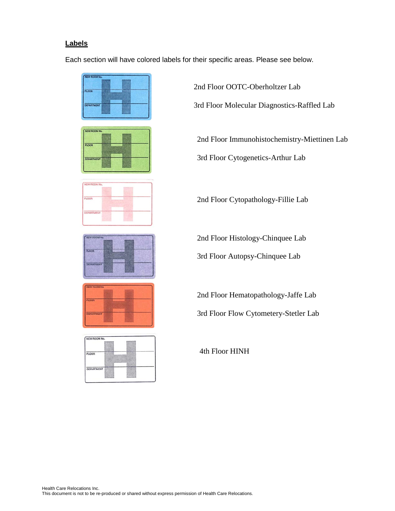## **Labels**

Each section will have colored labels for their specific areas. Please see below.



2nd Floor OOTC-Oberholtzer Lab 3rd Floor Molecular Diagnostics-Raffled Lab

2nd Floor Immunohistochemistry-Miettinen Lab

3rd Floor Cytogenetics-Arthur Lab

2nd Floor Cytopathology-Fillie Lab

2nd Floor Histology-Chinquee Lab

3rd Floor Autopsy-Chinquee Lab

2nd Floor Hematopathology-Jaffe Lab

3rd Floor Flow Cytometery-Stetler Lab

4th Floor HINH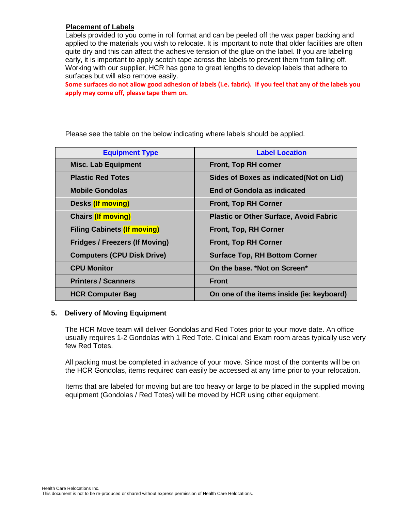#### **Placement of Labels**

Labels provided to you come in roll format and can be peeled off the wax paper backing and applied to the materials you wish to relocate. It is important to note that older facilities are often quite dry and this can affect the adhesive tension of the glue on the label. If you are labeling early, it is important to apply scotch tape across the labels to prevent them from falling off. Working with our supplier, HCR has gone to great lengths to develop labels that adhere to surfaces but will also remove easily.

**Some surfaces do not allow good adhesion of labels (i.e. fabric). If you feel that any of the labels you apply may come off, please tape them on.**

Please see the table on the below indicating where labels should be applied.

| <b>Equipment Type</b>                 | <b>Label Location</b>                         |
|---------------------------------------|-----------------------------------------------|
| <b>Misc. Lab Equipment</b>            | <b>Front, Top RH corner</b>                   |
| <b>Plastic Red Totes</b>              | Sides of Boxes as indicated (Not on Lid)      |
| <b>Mobile Gondolas</b>                | <b>End of Gondola as indicated</b>            |
| Desks (If moving)                     | <b>Front, Top RH Corner</b>                   |
| <b>Chairs (If moving)</b>             | <b>Plastic or Other Surface, Avoid Fabric</b> |
| <b>Filing Cabinets (If moving)</b>    | Front, Top, RH Corner                         |
| <b>Fridges / Freezers (If Moving)</b> | <b>Front, Top RH Corner</b>                   |
| <b>Computers (CPU Disk Drive)</b>     | <b>Surface Top, RH Bottom Corner</b>          |
| <b>CPU Monitor</b>                    | On the base, *Not on Screen*                  |
| <b>Printers / Scanners</b>            | <b>Front</b>                                  |
| <b>HCR Computer Bag</b>               | On one of the items inside (ie: keyboard)     |

#### **5. Delivery of Moving Equipment**

The HCR Move team will deliver Gondolas and Red Totes prior to your move date. An office usually requires 1-2 Gondolas with 1 Red Tote. Clinical and Exam room areas typically use very few Red Totes.

All packing must be completed in advance of your move. Since most of the contents will be on the HCR Gondolas, items required can easily be accessed at any time prior to your relocation.

Items that are labeled for moving but are too heavy or large to be placed in the supplied moving equipment (Gondolas / Red Totes) will be moved by HCR using other equipment.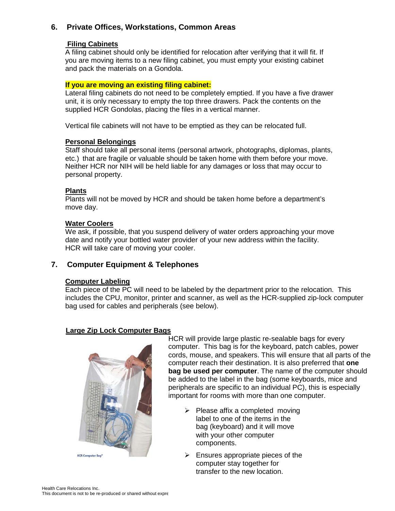## **6. Private Offices, Workstations, Common Areas**

#### **Filing Cabinets**

A filing cabinet should only be identified for relocation after verifying that it will fit. If you are moving items to a new filing cabinet, you must empty your existing cabinet and pack the materials on a Gondola.

#### **If you are moving an existing filing cabinet:**

Lateral filing cabinets do not need to be completely emptied. If you have a five drawer unit, it is only necessary to empty the top three drawers. Pack the contents on the supplied HCR Gondolas, placing the files in a vertical manner.

Vertical file cabinets will not have to be emptied as they can be relocated full.

#### **Personal Belongings**

Staff should take all personal items (personal artwork, photographs, diplomas, plants, etc.) that are fragile or valuable should be taken home with them before your move. Neither HCR nor NIH will be held liable for any damages or loss that may occur to personal property.

#### **Plants**

Plants will not be moved by HCR and should be taken home before a department's move day.

#### **Water Coolers**

We ask, if possible, that you suspend delivery of water orders approaching your move date and notify your bottled water provider of your new address within the facility. HCR will take care of moving your cooler.

## **7. Computer Equipment & Telephones**

#### **Computer Labeling**

Each piece of the PC will need to be labeled by the department prior to the relocation. This includes the CPU, monitor, printer and scanner, as well as the HCR-supplied zip-lock computer bag used for cables and peripherals (see below).

#### **Large Zip Lock Computer Bags**



HCR will provide large plastic re-sealable bags for every computer. This bag is for the keyboard, patch cables, power cords, mouse, and speakers. This will ensure that all parts of the computer reach their destination. It is also preferred that **one bag be used per computer**. The name of the computer should be added to the label in the bag (some keyboards, mice and peripherals are specific to an individual PC), this is especially important for rooms with more than one computer.

- $\triangleright$  Please affix a completed moving label to one of the items in the bag (keyboard) and it will move with your other computer components.
- $\triangleright$  Ensures appropriate pieces of the computer stay together for transfer to the new location.